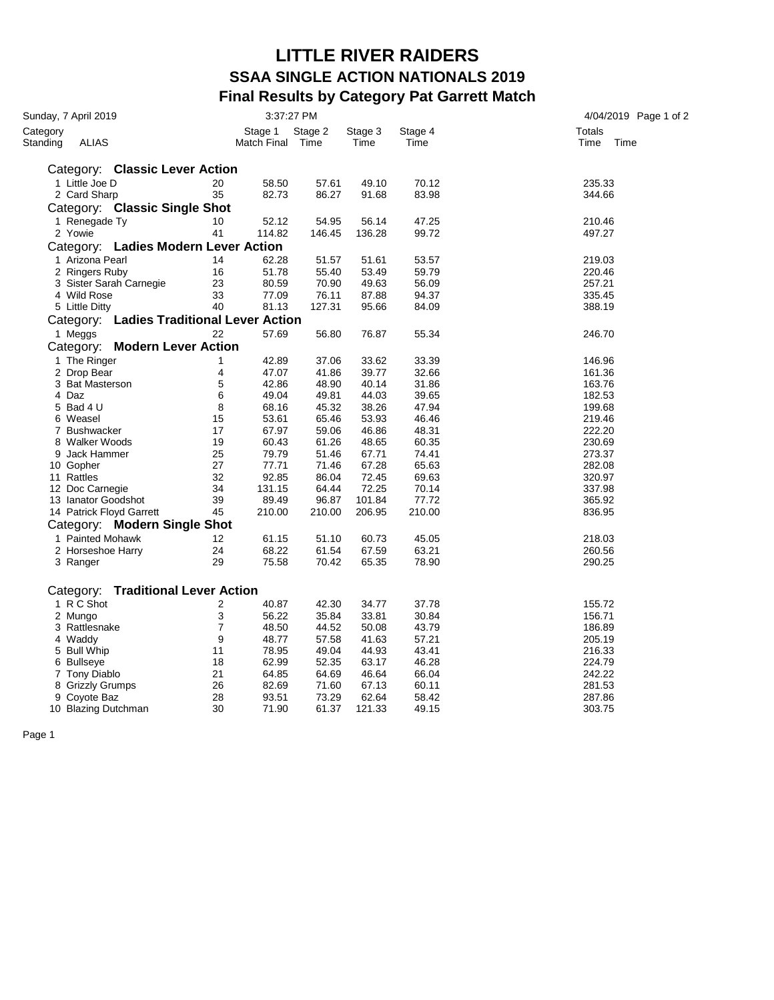## **LITTLE RIVER RAIDERS SSAA SINGLE ACTION NATIONALS 2019 Final Results by Category Pat Garrett Match**

| Sunday, 7 April 2019                         |    | 3:37:27 PM             |                 |                 |                 | 4/04/2019 Page 1 of 2         |  |
|----------------------------------------------|----|------------------------|-----------------|-----------------|-----------------|-------------------------------|--|
| Category<br><b>ALIAS</b><br>Standing         |    | Stage 1<br>Match Final | Stage 2<br>Time | Stage 3<br>Time | Stage 4<br>Time | <b>Totals</b><br>Time<br>Time |  |
| Category: Classic Lever Action               |    |                        |                 |                 |                 |                               |  |
| 1 Little Joe D                               | 20 | 58.50                  | 57.61           | 49.10           | 70.12           | 235.33                        |  |
| 2 Card Sharp                                 | 35 | 82.73                  | 86.27           | 91.68           | 83.98           | 344.66                        |  |
| Category: Classic Single Shot                |    |                        |                 |                 |                 |                               |  |
| 1 Renegade Ty                                | 10 | 52.12                  | 54.95           | 56.14           | 47.25           | 210.46                        |  |
| 2 Yowie                                      | 41 | 114.82                 | 146.45          | 136.28          | 99.72           | 497.27                        |  |
| Category: Ladies Modern Lever Action         |    |                        |                 |                 |                 |                               |  |
| 1 Arizona Pearl                              | 14 | 62.28                  | 51.57           | 51.61           | 53.57           | 219.03                        |  |
| 2 Ringers Ruby                               | 16 | 51.78                  | 55.40           | 53.49           | 59.79           | 220.46                        |  |
| 3 Sister Sarah Carnegie                      | 23 | 80.59                  | 70.90           | 49.63           | 56.09           | 257.21                        |  |
| 4 Wild Rose                                  | 33 | 77.09                  | 76.11           | 87.88           | 94.37           | 335.45                        |  |
| 5 Little Ditty                               | 40 | 81.13                  | 127.31          | 95.66           | 84.09           | 388.19                        |  |
| Category: Ladies Traditional Lever Action    |    |                        |                 |                 |                 |                               |  |
| 1 Meggs                                      | 22 | 57.69                  | 56.80           | 76.87           | 55.34           | 246.70                        |  |
| Category: Modern Lever Action                |    |                        |                 |                 |                 |                               |  |
| 1 The Ringer                                 | 1  | 42.89                  | 37.06           | 33.62           | 33.39           | 146.96                        |  |
| 2 Drop Bear                                  | 4  | 47.07                  | 41.86           | 39.77           | 32.66           | 161.36                        |  |
| 3 Bat Masterson                              | 5  | 42.86                  | 48.90           | 40.14           | 31.86           | 163.76                        |  |
| 4 Daz                                        | 6  | 49.04                  | 49.81           | 44.03           | 39.65           | 182.53                        |  |
| 5 Bad 4 U                                    | 8  | 68.16                  | 45.32           | 38.26           | 47.94           | 199.68                        |  |
| 6 Weasel                                     | 15 | 53.61                  | 65.46           | 53.93           | 46.46           | 219.46                        |  |
| 7 Bushwacker                                 | 17 | 67.97                  | 59.06           | 46.86           | 48.31           | 222.20                        |  |
| 8 Walker Woods                               | 19 | 60.43                  | 61.26           | 48.65           | 60.35           | 230.69                        |  |
| 9 Jack Hammer                                | 25 | 79.79                  | 51.46           | 67.71           | 74.41           | 273.37                        |  |
| 10 Gopher                                    | 27 | 77.71                  | 71.46           | 67.28           | 65.63           | 282.08                        |  |
| 11 Rattles                                   | 32 | 92.85                  | 86.04           | 72.45           | 69.63           | 320.97                        |  |
| 12 Doc Carnegie                              | 34 | 131.15                 | 64.44           | 72.25           | 70.14           | 337.98                        |  |
| 13 Ianator Goodshot                          | 39 | 89.49                  | 96.87           | 101.84          | 77.72           | 365.92                        |  |
| 14 Patrick Floyd Garrett                     | 45 | 210.00                 | 210.00          | 206.95          | 210.00          | 836.95                        |  |
| Category: Modern Single Shot                 |    |                        |                 |                 |                 |                               |  |
| 1 Painted Mohawk                             | 12 | 61.15                  | 51.10           | 60.73           | 45.05           | 218.03                        |  |
| 2 Horseshoe Harry                            | 24 | 68.22                  | 61.54           | 67.59           | 63.21           | 260.56                        |  |
| 3 Ranger                                     | 29 | 75.58                  | 70.42           | 65.35           | 78.90           | 290.25                        |  |
|                                              |    |                        |                 |                 |                 |                               |  |
| <b>Traditional Lever Action</b><br>Category: |    |                        |                 |                 |                 |                               |  |
| 1 R C Shot                                   | 2  | 40.87                  | 42.30           | 34.77           | 37.78           | 155.72                        |  |
| 2 Mungo                                      | 3  | 56.22                  | 35.84           | 33.81           | 30.84           | 156.71                        |  |
| 3 Rattlesnake                                | 7  | 48.50                  | 44.52           | 50.08           | 43.79           | 186.89                        |  |
| 4 Waddy                                      | 9  | 48.77                  | 57.58           | 41.63           | 57.21           | 205.19                        |  |
| 5 Bull Whip                                  | 11 | 78.95                  | 49.04           | 44.93           | 43.41           | 216.33                        |  |
| 6 Bullseye                                   | 18 | 62.99                  | 52.35           | 63.17           | 46.28           | 224.79                        |  |
| 7 Tony Diablo                                | 21 | 64.85                  | 64.69           | 46.64           | 66.04           | 242.22                        |  |
| 8 Grizzly Grumps                             | 26 | 82.69                  | 71.60           | 67.13           | 60.11           | 281.53                        |  |
| 9 Coyote Baz                                 | 28 | 93.51                  | 73.29           | 62.64           | 58.42           | 287.86                        |  |
| 10 Blazing Dutchman                          | 30 | 71.90                  | 61.37           | 121.33          | 49.15           | 303.75                        |  |

Page 1